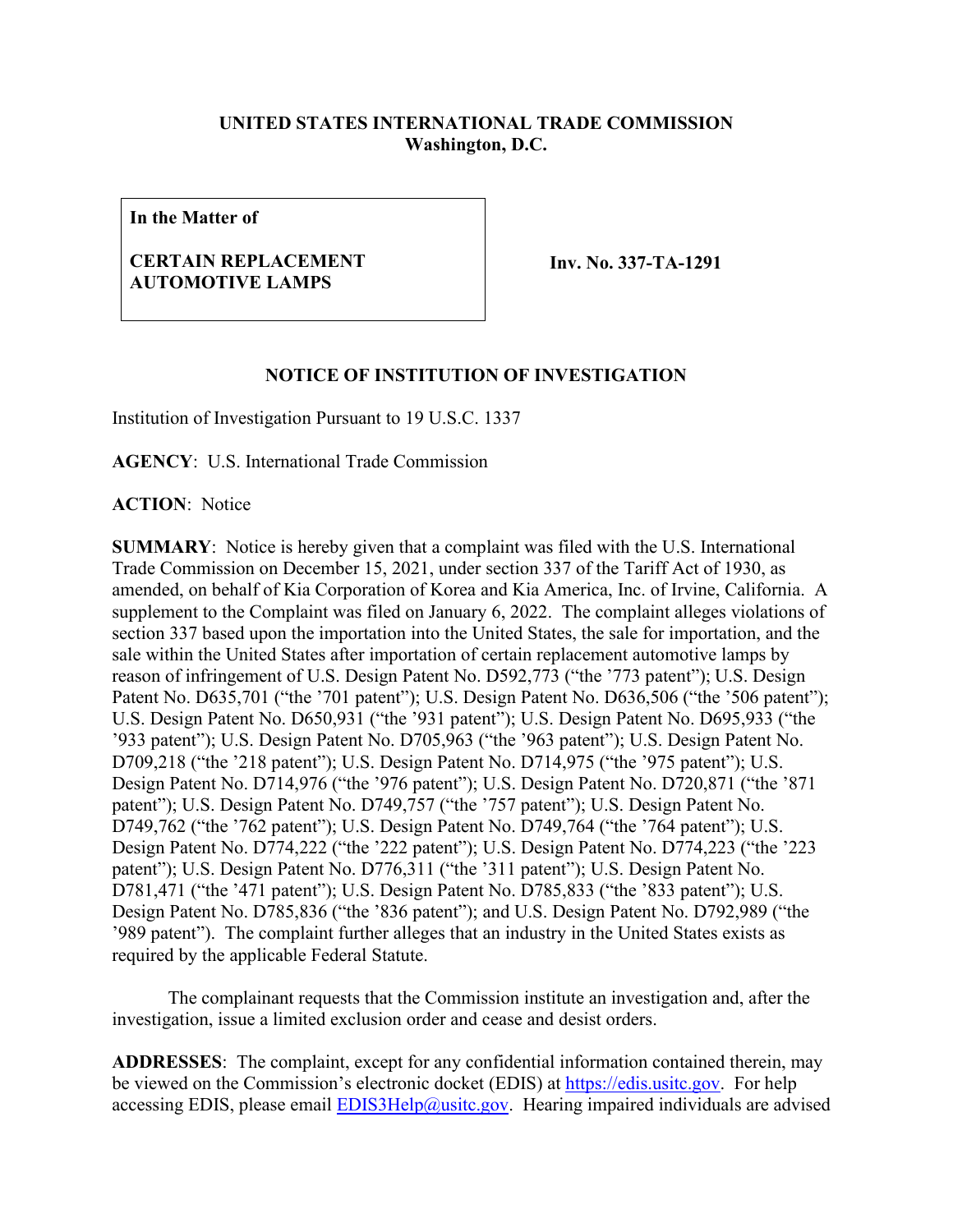## **UNITED STATES INTERNATIONAL TRADE COMMISSION Washington, D.C.**

**In the Matter of**

## **CERTAIN REPLACEMENT AUTOMOTIVE LAMPS**

**Inv. No. 337-TA-1291**

## **NOTICE OF INSTITUTION OF INVESTIGATION**

Institution of Investigation Pursuant to 19 U.S.C. 1337

**AGENCY**: U.S. International Trade Commission

**ACTION**: Notice

**SUMMARY**: Notice is hereby given that a complaint was filed with the U.S. International Trade Commission on December 15, 2021, under section 337 of the Tariff Act of 1930, as amended, on behalf of Kia Corporation of Korea and Kia America, Inc. of Irvine, California. A supplement to the Complaint was filed on January 6, 2022. The complaint alleges violations of section 337 based upon the importation into the United States, the sale for importation, and the sale within the United States after importation of certain replacement automotive lamps by reason of infringement of U.S. Design Patent No. D592,773 ("the '773 patent"); U.S. Design Patent No. D635,701 ("the '701 patent"); U.S. Design Patent No. D636,506 ("the '506 patent"); U.S. Design Patent No. D650,931 ("the '931 patent"); U.S. Design Patent No. D695,933 ("the '933 patent"); U.S. Design Patent No. D705,963 ("the '963 patent"); U.S. Design Patent No. D709,218 ("the '218 patent"); U.S. Design Patent No. D714,975 ("the '975 patent"); U.S. Design Patent No. D714,976 ("the '976 patent"); U.S. Design Patent No. D720,871 ("the '871 patent"); U.S. Design Patent No. D749,757 ("the '757 patent"); U.S. Design Patent No. D749,762 ("the '762 patent"); U.S. Design Patent No. D749,764 ("the '764 patent"); U.S. Design Patent No. D774,222 ("the '222 patent"); U.S. Design Patent No. D774,223 ("the '223 patent"); U.S. Design Patent No. D776,311 ("the '311 patent"); U.S. Design Patent No. D781,471 ("the '471 patent"); U.S. Design Patent No. D785,833 ("the '833 patent"); U.S. Design Patent No. D785,836 ("the '836 patent"); and U.S. Design Patent No. D792,989 ("the '989 patent"). The complaint further alleges that an industry in the United States exists as required by the applicable Federal Statute.

The complainant requests that the Commission institute an investigation and, after the investigation, issue a limited exclusion order and cease and desist orders.

**ADDRESSES**: The complaint, except for any confidential information contained therein, may be viewed on the Commission's electronic docket (EDIS) at [https://edis.usitc.gov.](https://edis.usitc.gov/) For help accessing EDIS, please email **EDIS3Help@usitc.gov**. Hearing impaired individuals are advised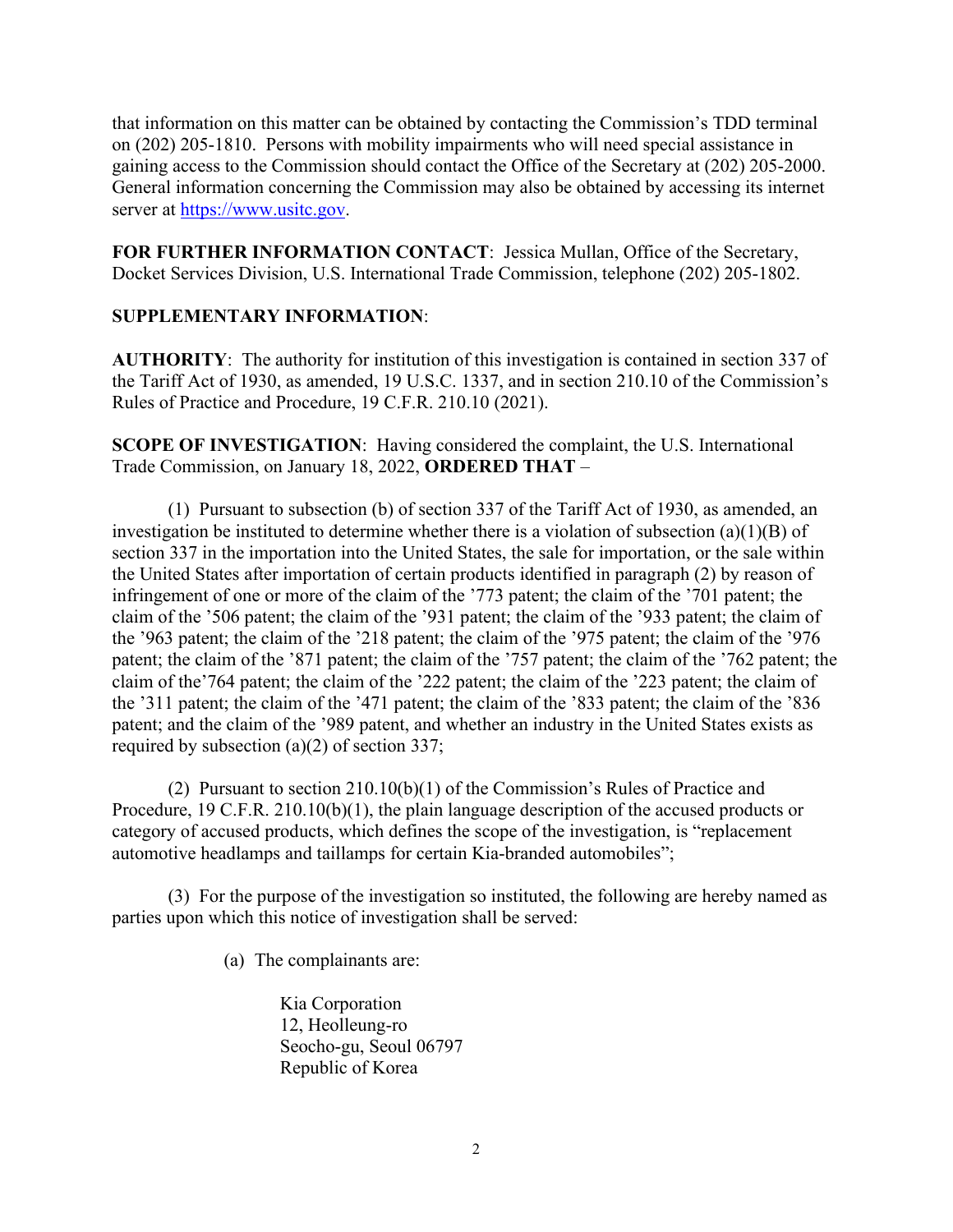that information on this matter can be obtained by contacting the Commission's TDD terminal on (202) 205-1810. Persons with mobility impairments who will need special assistance in gaining access to the Commission should contact the Office of the Secretary at (202) 205-2000. General information concerning the Commission may also be obtained by accessing its internet server at [https://www.usitc.gov.](https://www.usitc.gov/)

**FOR FURTHER INFORMATION CONTACT**: Jessica Mullan, Office of the Secretary, Docket Services Division, U.S. International Trade Commission, telephone (202) 205-1802.

## **SUPPLEMENTARY INFORMATION**:

**AUTHORITY**: The authority for institution of this investigation is contained in section 337 of the Tariff Act of 1930, as amended, 19 U.S.C. 1337, and in section 210.10 of the Commission's Rules of Practice and Procedure, 19 C.F.R. 210.10 (2021).

**SCOPE OF INVESTIGATION**: Having considered the complaint, the U.S. International Trade Commission, on January 18, 2022, **ORDERED THAT** –

(1) Pursuant to subsection (b) of section 337 of the Tariff Act of 1930, as amended, an investigation be instituted to determine whether there is a violation of subsection (a)(1)(B) of section 337 in the importation into the United States, the sale for importation, or the sale within the United States after importation of certain products identified in paragraph (2) by reason of infringement of one or more of the claim of the '773 patent; the claim of the '701 patent; the claim of the '506 patent; the claim of the '931 patent; the claim of the '933 patent; the claim of the '963 patent; the claim of the '218 patent; the claim of the '975 patent; the claim of the '976 patent; the claim of the '871 patent; the claim of the '757 patent; the claim of the '762 patent; the claim of the'764 patent; the claim of the '222 patent; the claim of the '223 patent; the claim of the '311 patent; the claim of the '471 patent; the claim of the '833 patent; the claim of the '836 patent; and the claim of the '989 patent, and whether an industry in the United States exists as required by subsection (a)(2) of section 337;

(2) Pursuant to section 210.10(b)(1) of the Commission's Rules of Practice and Procedure, 19 C.F.R. 210.10(b)(1), the plain language description of the accused products or category of accused products, which defines the scope of the investigation, is "replacement automotive headlamps and taillamps for certain Kia-branded automobiles";

(3) For the purpose of the investigation so instituted, the following are hereby named as parties upon which this notice of investigation shall be served:

(a) The complainants are:

Kia Corporation 12, Heolleung-ro Seocho-gu, Seoul 06797 Republic of Korea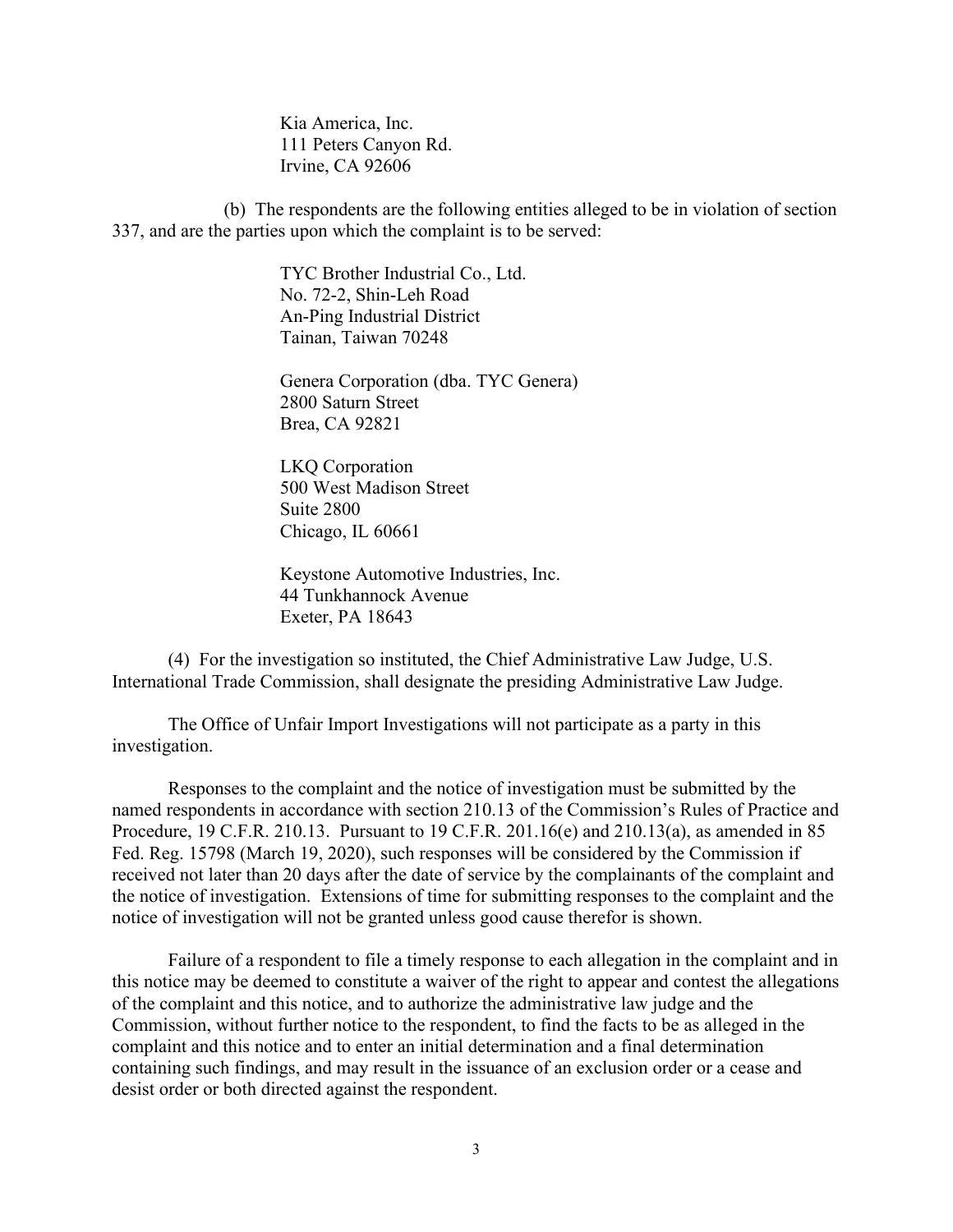Kia America, Inc. 111 Peters Canyon Rd. Irvine, CA 92606

(b) The respondents are the following entities alleged to be in violation of section 337, and are the parties upon which the complaint is to be served:

> TYC Brother Industrial Co., Ltd. No. 72-2, Shin-Leh Road An-Ping Industrial District Tainan, Taiwan 70248

Genera Corporation (dba. TYC Genera) 2800 Saturn Street Brea, CA 92821

LKQ Corporation 500 West Madison Street Suite 2800 Chicago, IL 60661

Keystone Automotive Industries, Inc. 44 Tunkhannock Avenue Exeter, PA 18643

(4) For the investigation so instituted, the Chief Administrative Law Judge, U.S. International Trade Commission, shall designate the presiding Administrative Law Judge.

The Office of Unfair Import Investigations will not participate as a party in this investigation.

Responses to the complaint and the notice of investigation must be submitted by the named respondents in accordance with section 210.13 of the Commission's Rules of Practice and Procedure, 19 C.F.R. 210.13. Pursuant to 19 C.F.R. 201.16(e) and 210.13(a), as amended in 85 Fed. Reg. 15798 (March 19, 2020), such responses will be considered by the Commission if received not later than 20 days after the date of service by the complainants of the complaint and the notice of investigation. Extensions of time for submitting responses to the complaint and the notice of investigation will not be granted unless good cause therefor is shown.

Failure of a respondent to file a timely response to each allegation in the complaint and in this notice may be deemed to constitute a waiver of the right to appear and contest the allegations of the complaint and this notice, and to authorize the administrative law judge and the Commission, without further notice to the respondent, to find the facts to be as alleged in the complaint and this notice and to enter an initial determination and a final determination containing such findings, and may result in the issuance of an exclusion order or a cease and desist order or both directed against the respondent.